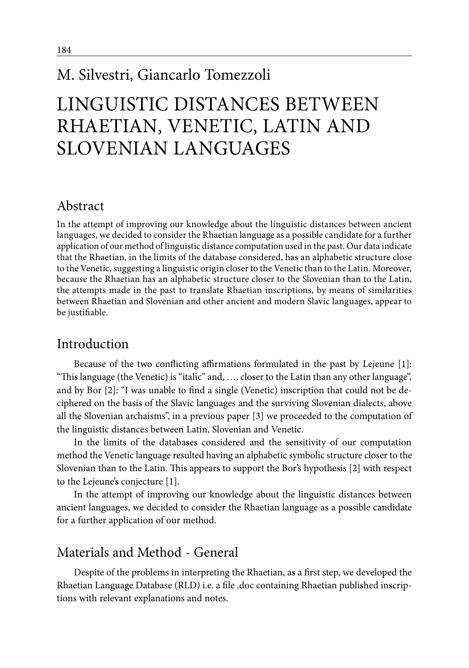# M. Silvestri, Giancarlo Tomezzoli

# Linguistic distances between Rhaetian, Venetic, Latin and Slovenian languages

### Abstract

In the attempt of improving our knowledge about the linguistic distances between ancient languages, we decided to consider the Rhaetian language as a possible candidate for a further application of our method of linguistic distance computation used in the past. Our data indicate that the Rhaetian, in the limits of the database considered, has an alphabetic structure close to the Venetic, suggesting a linguistic origin closer to the Venetic than to the Latin. Moreover, because the Rhaetian has an alphabetic structure closer to the Slovenian than to the Latin, the attempts made in the past to translate Rhaetian inscriptions, by means of similarities between Rhaetian and Slovenian and other ancient and modern Slavic languages, appear to be justifiable.

### Introduction

Because of the two conflicting affirmations formulated in the past by Lejeune [1]: "This language (the Venetic) is "italic" and, …, closer to the Latin than any other language", and by Bor [2]: "I was unable to find a single (Venetic) inscription that could not be deciphered on the basis of the Slavic languages and the surviving Slovenian dialects, above all the Slovenian archaisms", in a previous paper [3] we proceeded to the computation of the linguistic distances between Latin, Slovenian and Venetic.

In the limits of the databases considered and the sensitivity of our computation method the Venetic language resulted having an alphabetic symbolic structure closer to the Slovenian than to the Latin. This appears to support the Bor's hypothesis [2] with respect to the Lejeune's conjecture [1].

In the attempt of improving our knowledge about the linguistic distances between ancient languages, we decided to consider the Rhaetian language as a possible candidate for a further application of our method.

### Materials and Method - General

Despite of the problems in interpreting the Rhaetian, as a first step, we developed the Rhaetian Language Database (RLD) i.e. a file .doc containing Rhaetian published inscriptions with relevant explanations and notes.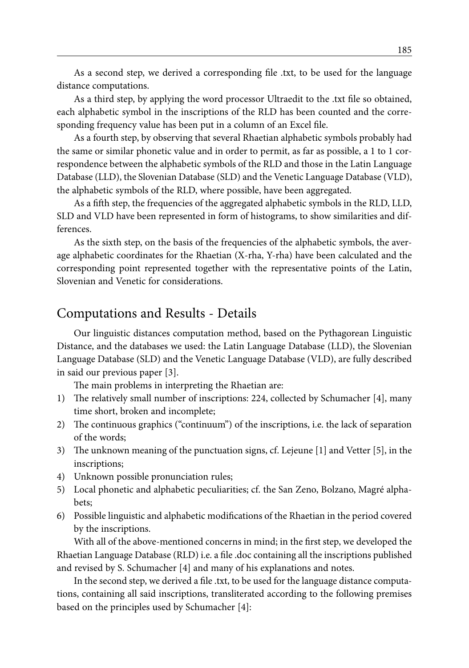As a second step, we derived a corresponding file .txt, to be used for the language distance computations.

As a third step, by applying the word processor Ultraedit to the .txt file so obtained, each alphabetic symbol in the inscriptions of the RLD has been counted and the corresponding frequency value has been put in a column of an Excel file.

As a fourth step, by observing that several Rhaetian alphabetic symbols probably had the same or similar phonetic value and in order to permit, as far as possible, a 1 to 1 correspondence between the alphabetic symbols of the RLD and those in the Latin Language Database (LLD), the Slovenian Database (SLD) and the Venetic Language Database (VLD), the alphabetic symbols of the RLD, where possible, have been aggregated.

As a fifth step, the frequencies of the aggregated alphabetic symbols in the RLD, LLD, SLD and VLD have been represented in form of histograms, to show similarities and differences.

As the sixth step, on the basis of the frequencies of the alphabetic symbols, the average alphabetic coordinates for the Rhaetian (X-rha, Y-rha) have been calculated and the corresponding point represented together with the representative points of the Latin, Slovenian and Venetic for considerations.

### Computations and Results - Details

Our linguistic distances computation method, based on the Pythagorean Linguistic Distance, and the databases we used: the Latin Language Database (LLD), the Slovenian Language Database (SLD) and the Venetic Language Database (VLD), are fully described in said our previous paper [3].

The main problems in interpreting the Rhaetian are:

- 1) The relatively small number of inscriptions: 224, collected by Schumacher [4], many time short, broken and incomplete;
- 2) The continuous graphics ("continuum") of the inscriptions, i.e. the lack of separation of the words;
- 3) The unknown meaning of the punctuation signs, cf. Lejeune [1] and Vetter [5], in the inscriptions;
- 4) Unknown possible pronunciation rules;
- 5) Local phonetic and alphabetic peculiarities; cf. the San Zeno, Bolzano, Magré alphabets;
- 6) Possible linguistic and alphabetic modifications of the Rhaetian in the period covered by the inscriptions.

With all of the above-mentioned concerns in mind; in the first step, we developed the Rhaetian Language Database (RLD) i.e. a file .doc containing all the inscriptions published and revised by S. Schumacher [4] and many of his explanations and notes.

In the second step, we derived a file .txt, to be used for the language distance computations, containing all said inscriptions, transliterated according to the following premises based on the principles used by Schumacher [4]: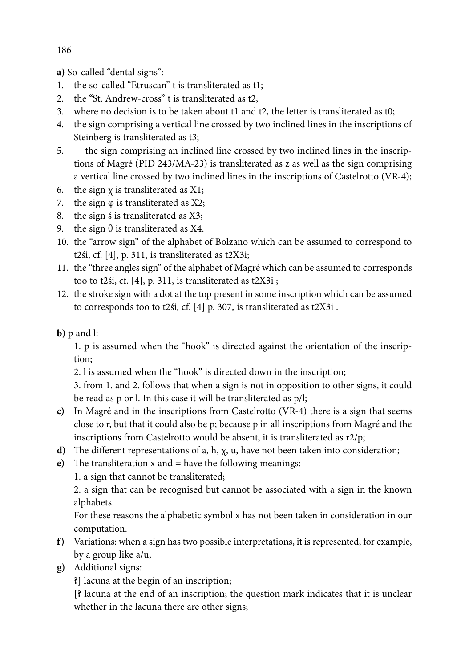**a)** So-called "dental signs":

- 1. the so-called "Etruscan" t is transliterated as t1;
- 2. the "St. Andrew-cross" t is transliterated as t2;
- 3. where no decision is to be taken about t1 and t2, the letter is transliterated as t0;
- 4. the sign comprising a vertical line crossed by two inclined lines in the inscriptions of Steinberg is transliterated as t3;
- 5. the sign comprising an inclined line crossed by two inclined lines in the inscriptions of Magré (PID 243/MA-23) is transliterated as z as well as the sign comprising a vertical line crossed by two inclined lines in the inscriptions of Castelrotto (VR-4);
- 6. the sign  $\chi$  is transliterated as X1;
- 7. the sign  $\varphi$  is transliterated as X2;
- 8. the sign ś is transliterated as X3;
- 9. the sign  $θ$  is transliterated as X4.
- 10. the "arrow sign" of the alphabet of Bolzano which can be assumed to correspond to t2śi, cf. [4], p. 311, is transliterated as t2X3i;
- 11. the "three angles sign" of the alphabet of Magré which can be assumed to corresponds too to t2śi, cf. [4], p. 311, is transliterated as t2X3i ;
- 12. the stroke sign with a dot at the top present in some inscription which can be assumed to corresponds too to t2śi, cf. [4] p. 307, is transliterated as t2X3i .

#### **b)** p and l:

1. p is assumed when the "hook" is directed against the orientation of the inscription;

2. l is assumed when the "hook" is directed down in the inscription;

3. from 1. and 2. follows that when a sign is not in opposition to other signs, it could be read as p or l. In this case it will be transliterated as p/l;

- **c)** In Magré and in the inscriptions from Castelrotto (VR-4) there is a sign that seems close to r, but that it could also be p; because p in all inscriptions from Magré and the inscriptions from Castelrotto would be absent, it is transliterated as r2/p;
- **d)** The different representations of a, h, χ, u, have not been taken into consideration;
- **e)** The transliteration x and = have the following meanings:

1. a sign that cannot be transliterated;

2. a sign that can be recognised but cannot be associated with a sign in the known alphabets.

For these reasons the alphabetic symbol x has not been taken in consideration in our computation.

- **f)** Variations: when a sign has two possible interpretations, it is represented, for example, by a group like a/u;
- **g)** Additional signs:

**?]** lacuna at the begin of an inscription;

**[?** lacuna at the end of an inscription; the question mark indicates that it is unclear whether in the lacuna there are other signs;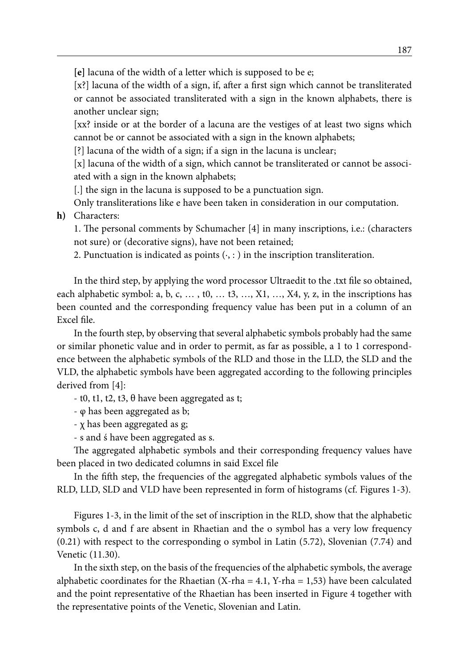**[e]** lacuna of the width of a letter which is supposed to be e;

[x?] lacuna of the width of a sign, if, after a first sign which cannot be transliterated or cannot be associated transliterated with a sign in the known alphabets, there is another unclear sign;

[xx? inside or at the border of a lacuna are the vestiges of at least two signs which cannot be or cannot be associated with a sign in the known alphabets;

[?] lacuna of the width of a sign; if a sign in the lacuna is unclear;

[x] lacuna of the width of a sign, which cannot be transliterated or cannot be associated with a sign in the known alphabets;

[.] the sign in the lacuna is supposed to be a punctuation sign.

Only transliterations like e have been taken in consideration in our computation.

**h)** Characters:

1. The personal comments by Schumacher [4] in many inscriptions, i.e.: (characters not sure) or (decorative signs), have not been retained;

2. Punctuation is indicated as points  $(·, : )$  in the inscription transliteration.

In the third step, by applying the word processor Ultraedit to the .txt file so obtained, each alphabetic symbol: a, b, c, ..., t0, ... t3, ...,  $X1$ , ...,  $X4$ , y, z, in the inscriptions has been counted and the corresponding frequency value has been put in a column of an Excel file.

In the fourth step, by observing that several alphabetic symbols probably had the same or similar phonetic value and in order to permit, as far as possible, a 1 to 1 correspondence between the alphabetic symbols of the RLD and those in the LLD, the SLD and the VLD, the alphabetic symbols have been aggregated according to the following principles derived from [4]:

- t0, t1, t2, t3, θ have been aggregated as t;

- φ has been aggregated as b;

- χ has been aggregated as g;

- s and ś have been aggregated as s.

The aggregated alphabetic symbols and their corresponding frequency values have been placed in two dedicated columns in said Excel file

In the fifth step, the frequencies of the aggregated alphabetic symbols values of the RLD, LLD, SLD and VLD have been represented in form of histograms (cf. Figures 1-3).

Figures 1-3, in the limit of the set of inscription in the RLD, show that the alphabetic symbols c, d and f are absent in Rhaetian and the o symbol has a very low frequency (0.21) with respect to the corresponding o symbol in Latin (5.72), Slovenian (7.74) and Venetic (11.30).

In the sixth step, on the basis of the frequencies of the alphabetic symbols, the average alphabetic coordinates for the Rhaetian  $(X-rha = 4.1, Y-rha = 1,53)$  have been calculated and the point representative of the Rhaetian has been inserted in Figure 4 together with the representative points of the Venetic, Slovenian and Latin.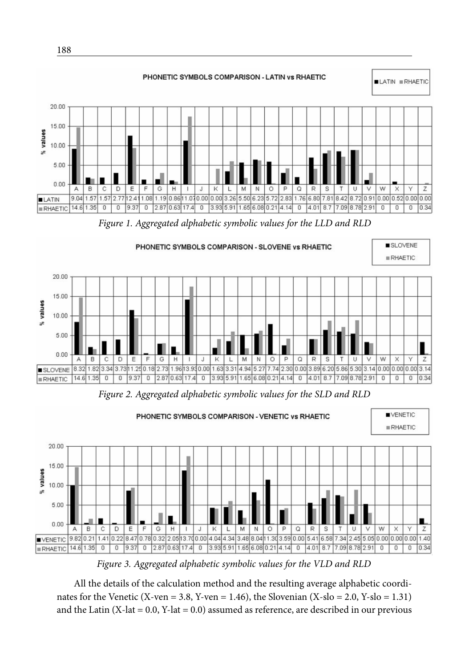

*Figure 3. Aggregated alphabetic symbolic values for the VLD and RLD*

All the details of the calculation method and the resulting average alphabetic coordinates for the Venetic (X-ven = 3.8, Y-ven = 1.46), the Slovenian (X-slo = 2.0, Y-slo = 1.31) and the Latin  $(X$ -lat = 0.0, Y-lat = 0.0) assumed as reference, are described in our previous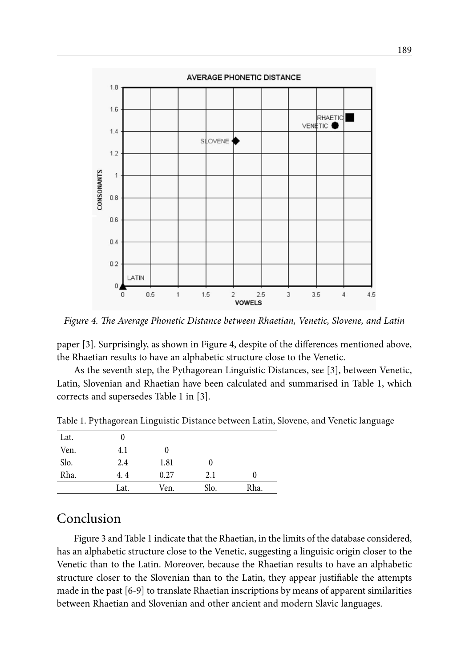

*Figure 4. The Average Phonetic Distance between Rhaetian, Venetic, Slovene, and Latin*

paper [3]. Surprisingly, as shown in Figure 4, despite of the differences mentioned above, the Rhaetian results to have an alphabetic structure close to the Venetic.

As the seventh step, the Pythagorean Linguistic Distances, see [3], between Venetic, Latin, Slovenian and Rhaetian have been calculated and summarised in Table 1, which corrects and supersedes Table 1 in [3].

| Lat. |      |      |          |          |
|------|------|------|----------|----------|
| Ven. | 4.1  | 0    |          |          |
| Slo. | 2.4  | 1.81 | $\theta$ |          |
| Rha. | 4.4  | 0.27 | 2.1      | $\theta$ |
|      | Lat. | Ven. | Slo.     | Rha.     |

Table 1. Pythagorean Linguistic Distance between Latin, Slovene, and Venetic language

### Conclusion

Figure 3 and Table 1 indicate that the Rhaetian, in the limits of the database considered, has an alphabetic structure close to the Venetic, suggesting a linguisic origin closer to the Venetic than to the Latin. Moreover, because the Rhaetian results to have an alphabetic structure closer to the Slovenian than to the Latin, they appear justifiable the attempts made in the past [6-9] to translate Rhaetian inscriptions by means of apparent similarities between Rhaetian and Slovenian and other ancient and modern Slavic languages.